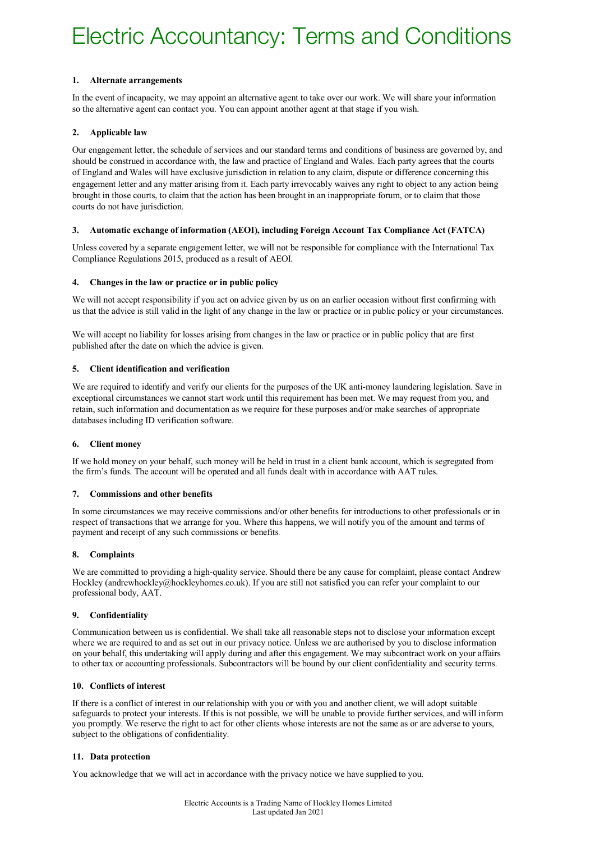## **1. Alternate arrangements**

In the event of incapacity, we may appoint an alternative agent to take over our work. We will share your information so the alternative agent can contact you. You can appoint another agent at that stage if you wish.

# **2. Applicable law**

Our engagement letter, the schedule of services and our standard terms and conditions of business are governed by, and should be construed in accordance with, the law and practice of England and Wales. Each party agrees that the courts of England and Wales will have exclusive jurisdiction in relation to any claim, dispute or difference concerning this engagement letter and any matter arising from it. Each party irrevocably waives any right to object to any action being brought in those courts, to claim that the action has been brought in an inappropriate forum, or to claim that those courts do not have jurisdiction.

## **3. Automatic exchange of information (AEOI), including Foreign Account Tax Compliance Act (FATCA)**

Unless covered by a separate engagement letter, we will not be responsible for compliance with the International Tax Compliance Regulations 2015, produced as a result of AEOI.

## **4. Changes in the law or practice or in public policy**

We will not accept responsibility if you act on advice given by us on an earlier occasion without first confirming with us that the advice is still valid in the light of any change in the law or practice or in public policy or your circumstances.

We will accept no liability for losses arising from changes in the law or practice or in public policy that are first published after the date on which the advice is given.

## **5. Client identification and verification**

We are required to identify and verify our clients for the purposes of the UK anti-money laundering legislation. Save in exceptional circumstances we cannot start work until this requirement has been met. We may request from you, and retain, such information and documentation as we require for these purposes and/or make searches of appropriate databases including ID verification software.

# **6. Client money**

If we hold money on your behalf, such money will be held in trust in a client bank account, which is segregated from the firm's funds. The account will be operated and all funds dealt with in accordance with AAT rules.

## **7. Commissions and other benefits**

In some circumstances we may receive commissions and/or other benefits for introductions to other professionals or in respect of transactions that we arrange for you. Where this happens, we will notify you of the amount and terms of payment and receipt of any such commissions or benefits.

# **8. Complaints**

We are committed to providing a high-quality service. Should there be any cause for complaint, please contact Andrew Hockley (andrewhockley@hockleyhomes.co.uk). If you are still not satisfied you can refer your complaint to our professional body, AAT.

## **9. Confidentiality**

Communication between us is confidential. We shall take all reasonable steps not to disclose your information except where we are required to and as set out in our privacy notice. Unless we are authorised by you to disclose information on your behalf, this undertaking will apply during and after this engagement. We may subcontract work on your affairs to other tax or accounting professionals. Subcontractors will be bound by our client confidentiality and security terms.

## **10. Conflicts of interest**

If there is a conflict of interest in our relationship with you or with you and another client, we will adopt suitable safeguards to protect your interests. If this is not possible, we will be unable to provide further services, and will inform you promptly. We reserve the right to act for other clients whose interests are not the same as or are adverse to yours, subject to the obligations of confidentiality.

# **11. Data protection**

You acknowledge that we will act in accordance with the privacy notice we have supplied to you.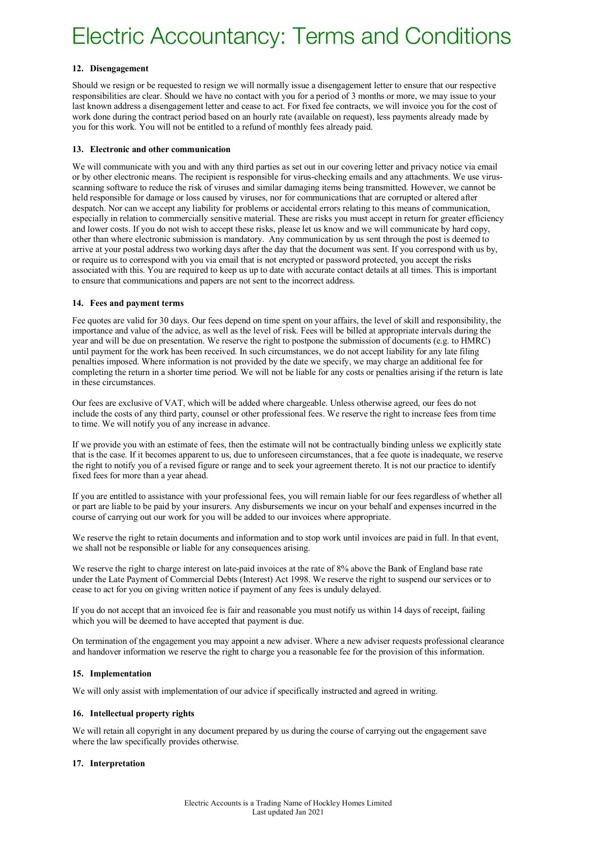## **12. Disengagement**

Should we resign or be requested to resign we will normally issue a disengagement letter to ensure that our respective responsibilities are clear. Should we have no contact with you for a period of 3 months or more, we may issue to your last known address a disengagement letter and cease to act. For fixed fee contracts, we will invoice you for the cost of work done during the contract period based on an hourly rate (available on request), less payments already made by you for this work. You will not be entitled to a refund of monthly fees already paid.

## **13. Electronic and other communication**

We will communicate with you and with any third parties as set out in our covering letter and privacy notice via email or by other electronic means. The recipient is responsible for virus-checking emails and any attachments. We use virusscanning software to reduce the risk of viruses and similar damaging items being transmitted. However, we cannot be held responsible for damage or loss caused by viruses, nor for communications that are corrupted or altered after despatch. Nor can we accept any liability for problems or accidental errors relating to this means of communication, especially in relation to commercially sensitive material. These are risks you must accept in return for greater efficiency and lower costs. If you do not wish to accept these risks, please let us know and we will communicate by hard copy, other than where electronic submission is mandatory. Any communication by us sent through the post is deemed to arrive at your postal address two working days after the day that the document was sent. If you correspond with us by, or require us to correspond with you via email that is not encrypted or password protected, you accept the risks associated with this. You are required to keep us up to date with accurate contact details at all times. This is important to ensure that communications and papers are not sent to the incorrect address.

## **14. Fees and payment terms**

Fee quotes are valid for 30 days. Our fees depend on time spent on your affairs, the level of skill and responsibility, the importance and value of the advice, as well as the level of risk. Fees will be billed at appropriate intervals during the year and will be due on presentation. We reserve the right to postpone the submission of documents (e.g. to HMRC) until payment for the work has been received. In such circumstances, we do not accept liability for any late filing penalties imposed. Where information is not provided by the date we specify, we may charge an additional fee for completing the return in a shorter time period. We will not be liable for any costs or penalties arising if the return is late in these circumstances.

Our fees are exclusive of VAT, which will be added where chargeable. Unless otherwise agreed, our fees do not include the costs of any third party, counsel or other professional fees. We reserve the right to increase fees from time to time. We will notify you of any increase in advance.

If we provide you with an estimate of fees, then the estimate will not be contractually binding unless we explicitly state that is the case. If it becomes apparent to us, due to unforeseen circumstances, that a fee quote is inadequate, we reserve the right to notify you of a revised figure or range and to seek your agreement thereto. It is not our practice to identify fixed fees for more than a year ahead.

If you are entitled to assistance with your professional fees, you will remain liable for our fees regardless of whether all or part are liable to be paid by your insurers. Any disbursements we incur on your behalf and expenses incurred in the course of carrying out our work for you will be added to our invoices where appropriate.

We reserve the right to retain documents and information and to stop work until invoices are paid in full. In that event, we shall not be responsible or liable for any consequences arising.

We reserve the right to charge interest on late-paid invoices at the rate of 8% above the Bank of England base rate under the Late Payment of Commercial Debts (Interest) Act 1998. We reserve the right to suspend our services or to cease to act for you on giving written notice if payment of any fees is unduly delayed.

If you do not accept that an invoiced fee is fair and reasonable you must notify us within 14 days of receipt, failing which you will be deemed to have accepted that payment is due.

On termination of the engagement you may appoint a new adviser. Where a new adviser requests professional clearance and handover information we reserve the right to charge you a reasonable fee for the provision of this information.

## **15. Implementation**

We will only assist with implementation of our advice if specifically instructed and agreed in writing.

## **16. Intellectual property rights**

We will retain all copyright in any document prepared by us during the course of carrying out the engagement save where the law specifically provides otherwise.

## **17. Interpretation**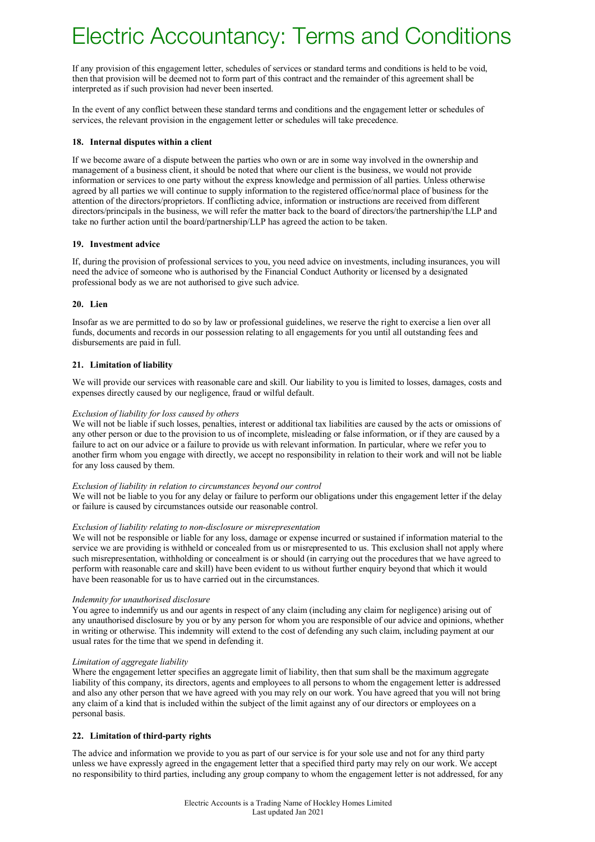If any provision of this engagement letter, schedules of services or standard terms and conditions is held to be void, then that provision will be deemed not to form part of this contract and the remainder of this agreement shall be interpreted as if such provision had never been inserted.

In the event of any conflict between these standard terms and conditions and the engagement letter or schedules of services, the relevant provision in the engagement letter or schedules will take precedence.

## **18. Internal disputes within a client**

If we become aware of a dispute between the parties who own or are in some way involved in the ownership and management of a business client, it should be noted that where our client is the business, we would not provide information or services to one party without the express knowledge and permission of all parties. Unless otherwise agreed by all parties we will continue to supply information to the registered office/normal place of business for the attention of the directors/proprietors. If conflicting advice, information or instructions are received from different directors/principals in the business, we will refer the matter back to the board of directors/the partnership/the LLP and take no further action until the board/partnership/LLP has agreed the action to be taken.

## **19. Investment advice**

If, during the provision of professional services to you, you need advice on investments, including insurances, you will need the advice of someone who is authorised by the Financial Conduct Authority or licensed by a designated professional body as we are not authorised to give such advice.

## **20. Lien**

Insofar as we are permitted to do so by law or professional guidelines, we reserve the right to exercise a lien over all funds, documents and records in our possession relating to all engagements for you until all outstanding fees and disbursements are paid in full.

## **21. Limitation of liability**

We will provide our services with reasonable care and skill. Our liability to you is limited to losses, damages, costs and expenses directly caused by our negligence, fraud or wilful default.

## *Exclusion of liability for loss caused by others*

We will not be liable if such losses, penalties, interest or additional tax liabilities are caused by the acts or omissions of any other person or due to the provision to us of incomplete, misleading or false information, or if they are caused by a failure to act on our advice or a failure to provide us with relevant information. In particular, where we refer you to another firm whom you engage with directly, we accept no responsibility in relation to their work and will not be liable for any loss caused by them.

## *Exclusion of liability in relation to circumstances beyond our control*

We will not be liable to you for any delay or failure to perform our obligations under this engagement letter if the delay or failure is caused by circumstances outside our reasonable control.

## *Exclusion of liability relating to non-disclosure or misrepresentation*

We will not be responsible or liable for any loss, damage or expense incurred or sustained if information material to the service we are providing is withheld or concealed from us or misrepresented to us. This exclusion shall not apply where such misrepresentation, withholding or concealment is or should (in carrying out the procedures that we have agreed to perform with reasonable care and skill) have been evident to us without further enquiry beyond that which it would have been reasonable for us to have carried out in the circumstances.

## *Indemnity for unauthorised disclosure*

You agree to indemnify us and our agents in respect of any claim (including any claim for negligence) arising out of any unauthorised disclosure by you or by any person for whom you are responsible of our advice and opinions, whether in writing or otherwise. This indemnity will extend to the cost of defending any such claim, including payment at our usual rates for the time that we spend in defending it.

## *Limitation of aggregate liability*

Where the engagement letter specifies an aggregate limit of liability, then that sum shall be the maximum aggregate liability of this company, its directors, agents and employees to all persons to whom the engagement letter is addressed and also any other person that we have agreed with you may rely on our work. You have agreed that you will not bring any claim of a kind that is included within the subject of the limit against any of our directors or employees on a personal basis.

## **22. Limitation of third-party rights**

The advice and information we provide to you as part of our service is for your sole use and not for any third party unless we have expressly agreed in the engagement letter that a specified third party may rely on our work. We accept no responsibility to third parties, including any group company to whom the engagement letter is not addressed, for any